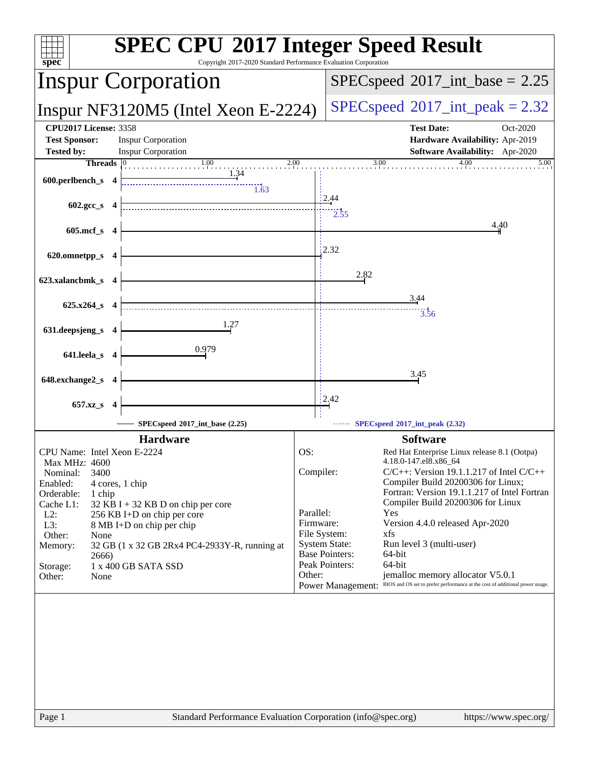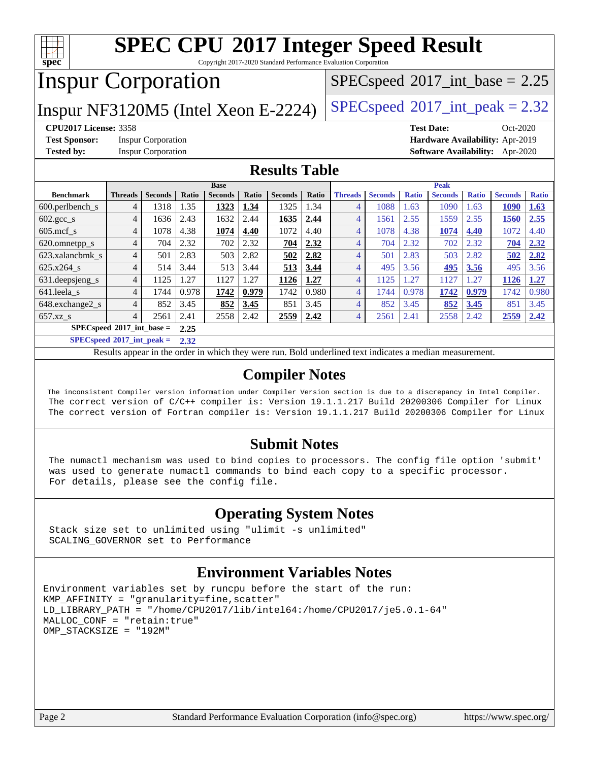

Copyright 2017-2020 Standard Performance Evaluation Corporation

## Inspur Corporation

Inspur NF3120M5 (Intel Xeon E-2224)  $|SPECspeed^{\circ}2017\_int\_peak = 2.32$  $|SPECspeed^{\circ}2017\_int\_peak = 2.32$  $|SPECspeed^{\circ}2017\_int\_peak = 2.32$ 

 $SPECspeed^{\circledcirc}2017\_int\_base = 2.25$  $SPECspeed^{\circledcirc}2017\_int\_base = 2.25$ 

**[Test Sponsor:](http://www.spec.org/auto/cpu2017/Docs/result-fields.html#TestSponsor)** Inspur Corporation **[Hardware Availability:](http://www.spec.org/auto/cpu2017/Docs/result-fields.html#HardwareAvailability)** Apr-2019

**[CPU2017 License:](http://www.spec.org/auto/cpu2017/Docs/result-fields.html#CPU2017License)** 3358 **[Test Date:](http://www.spec.org/auto/cpu2017/Docs/result-fields.html#TestDate)** Oct-2020 **[Tested by:](http://www.spec.org/auto/cpu2017/Docs/result-fields.html#Testedby)** Inspur Corporation **[Software Availability:](http://www.spec.org/auto/cpu2017/Docs/result-fields.html#SoftwareAvailability)** Apr-2020

#### **[Results Table](http://www.spec.org/auto/cpu2017/Docs/result-fields.html#ResultsTable)**

|                                    | <b>Base</b>    |                |              |                | <b>Peak</b> |                |       |                |                |              |                |              |                |              |
|------------------------------------|----------------|----------------|--------------|----------------|-------------|----------------|-------|----------------|----------------|--------------|----------------|--------------|----------------|--------------|
| <b>Benchmark</b>                   | <b>Threads</b> | <b>Seconds</b> | <b>Ratio</b> | <b>Seconds</b> | Ratio       | <b>Seconds</b> | Ratio | <b>Threads</b> | <b>Seconds</b> | <b>Ratio</b> | <b>Seconds</b> | <b>Ratio</b> | <b>Seconds</b> | <b>Ratio</b> |
| $600.$ perlbench $\mathsf{S}$      | $\overline{4}$ | 1318           | 1.35         | 1323           | 1.34        | 1325           | 1.34  | 4              | 1088           | 1.63         | 1090           | 1.63         | 1090           | 1.63         |
| $602 \text{. gcc}$ s               | $\overline{4}$ | 1636           | 2.43         | 1632           | 2.44        | 1635           | 2.44  | 4              | 561            | 2.55         | 1559           | 2.55         | <b>1560</b>    | 2.55         |
| $605 \text{.mcf}$ s                | $\overline{4}$ | 1078           | 4.38         | 1074           | 4.40        | 1072           | 4.40  | 4              | 1078           | 4.38         | 1074           | 4.40         | 1072           | 4.40         |
| 620.omnetpp_s                      | $\overline{4}$ | 704            | 2.32         | 702            | 2.32        | 704            | 2.32  | 4              | 704            | 2.32         | 702            | 2.32         | 704            | 2.32         |
| 623.xalancbmk s                    | $\overline{4}$ | 501            | 2.83         | 503            | 2.82        | 502            | 2.82  | 4              | 501            | 2.83         | 503            | 2.82         | 502            | 2.82         |
| 625.x264 s                         | 4              | 514            | 3.44         | 513            | 3.44        | 513            | 3.44  | 4              | 495            | 3.56         | 495            | 3.56         | 495            | 3.56         |
| 631.deepsjeng_s                    | $\overline{4}$ | 1125           | 1.27         | 1127           | .27         | 1126           | 1.27  | 4              | <b>125</b>     | .27          | 127            | .27          | 1126           | 1.27         |
| 641.leela s                        | $\overline{4}$ | 1744           | 0.978        | 1742           | 0.979       | 1742           | 0.980 | 4              | 744            | 0.978        | 1742           | 0.979        | 742            | 0.980        |
| 648.exchange2 s                    | $\overline{4}$ | 852            | 3.45         | 852            | 3.45        | 851            | 3.45  | 4              | 852            | 3.45         | 852            | 3.45         | 851            | 3.45         |
| $657.xz$ <sub>S</sub>              | $\overline{4}$ | 2561           | 2.41         | 2558           | 2.42        | 2559           | 2.42  | 4              | 2561           | 2.41         | 2558           | 2.42         | 2559           | 2.42         |
| $SPECspeed^{\circ}2017$ int base = |                |                | 2.25         |                |             |                |       |                |                |              |                |              |                |              |

**[SPECspeed](http://www.spec.org/auto/cpu2017/Docs/result-fields.html#SPECspeed2017intpeak)[2017\\_int\\_peak =](http://www.spec.org/auto/cpu2017/Docs/result-fields.html#SPECspeed2017intpeak) 2.32**

Results appear in the [order in which they were run.](http://www.spec.org/auto/cpu2017/Docs/result-fields.html#RunOrder) Bold underlined text [indicates a median measurement](http://www.spec.org/auto/cpu2017/Docs/result-fields.html#Median).

### **[Compiler Notes](http://www.spec.org/auto/cpu2017/Docs/result-fields.html#CompilerNotes)**

 The inconsistent Compiler version information under Compiler Version section is due to a discrepancy in Intel Compiler. The correct version of C/C++ compiler is: Version 19.1.1.217 Build 20200306 Compiler for Linux The correct version of Fortran compiler is: Version 19.1.1.217 Build 20200306 Compiler for Linux

#### **[Submit Notes](http://www.spec.org/auto/cpu2017/Docs/result-fields.html#SubmitNotes)**

 The numactl mechanism was used to bind copies to processors. The config file option 'submit' was used to generate numactl commands to bind each copy to a specific processor. For details, please see the config file.

### **[Operating System Notes](http://www.spec.org/auto/cpu2017/Docs/result-fields.html#OperatingSystemNotes)**

 Stack size set to unlimited using "ulimit -s unlimited" SCALING\_GOVERNOR set to Performance

#### **[Environment Variables Notes](http://www.spec.org/auto/cpu2017/Docs/result-fields.html#EnvironmentVariablesNotes)**

```
Environment variables set by runcpu before the start of the run:
KMP_AFFINITY = "granularity=fine,scatter"
LD_LIBRARY_PATH = "/home/CPU2017/lib/intel64:/home/CPU2017/je5.0.1-64"
MALLOC_CONF = "retain:true"
OMP_STACKSIZE = "192M"
```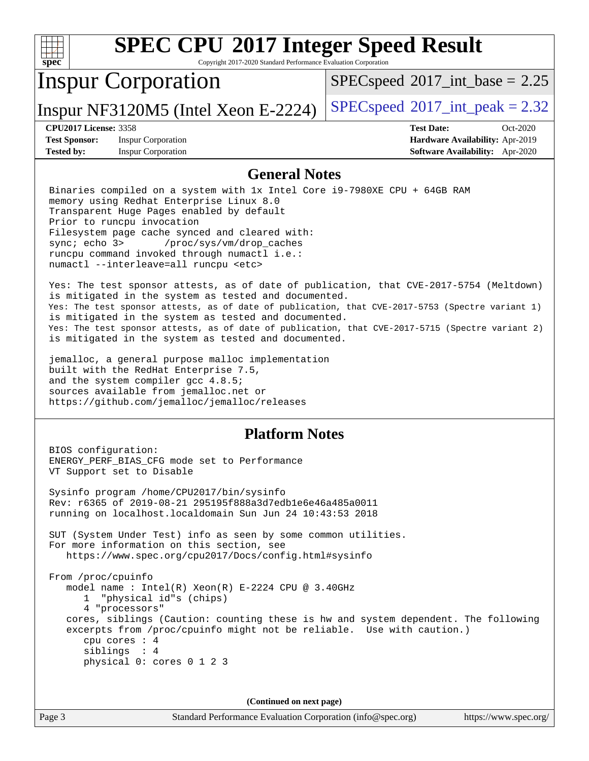| v.<br>ť<br>ι, |  |  |  |  |  |  |  |
|---------------|--|--|--|--|--|--|--|

Copyright 2017-2020 Standard Performance Evaluation Corporation

## Inspur Corporation

 $SPECspeed^{\circledcirc}2017\_int\_base = 2.25$  $SPECspeed^{\circledcirc}2017\_int\_base = 2.25$ 

Inspur NF3120M5 (Intel Xeon E-2224)  $|SPECspeed^{\circ}2017\_int\_peak = 2.32$  $|SPECspeed^{\circ}2017\_int\_peak = 2.32$  $|SPECspeed^{\circ}2017\_int\_peak = 2.32$ 

**[Test Sponsor:](http://www.spec.org/auto/cpu2017/Docs/result-fields.html#TestSponsor)** Inspur Corporation **[Hardware Availability:](http://www.spec.org/auto/cpu2017/Docs/result-fields.html#HardwareAvailability)** Apr-2019 **[Tested by:](http://www.spec.org/auto/cpu2017/Docs/result-fields.html#Testedby)** Inspur Corporation **[Software Availability:](http://www.spec.org/auto/cpu2017/Docs/result-fields.html#SoftwareAvailability)** Apr-2020

**[CPU2017 License:](http://www.spec.org/auto/cpu2017/Docs/result-fields.html#CPU2017License)** 3358 **[Test Date:](http://www.spec.org/auto/cpu2017/Docs/result-fields.html#TestDate)** Oct-2020

#### **[General Notes](http://www.spec.org/auto/cpu2017/Docs/result-fields.html#GeneralNotes)**

 Binaries compiled on a system with 1x Intel Core i9-7980XE CPU + 64GB RAM memory using Redhat Enterprise Linux 8.0 Transparent Huge Pages enabled by default Prior to runcpu invocation Filesystem page cache synced and cleared with: sync; echo 3> /proc/sys/vm/drop\_caches runcpu command invoked through numactl i.e.: numactl --interleave=all runcpu <etc>

 Yes: The test sponsor attests, as of date of publication, that CVE-2017-5754 (Meltdown) is mitigated in the system as tested and documented. Yes: The test sponsor attests, as of date of publication, that CVE-2017-5753 (Spectre variant 1) is mitigated in the system as tested and documented. Yes: The test sponsor attests, as of date of publication, that CVE-2017-5715 (Spectre variant 2) is mitigated in the system as tested and documented.

 jemalloc, a general purpose malloc implementation built with the RedHat Enterprise 7.5, and the system compiler gcc 4.8.5; sources available from jemalloc.net or <https://github.com/jemalloc/jemalloc/releases>

#### **[Platform Notes](http://www.spec.org/auto/cpu2017/Docs/result-fields.html#PlatformNotes)**

 BIOS configuration: ENERGY\_PERF\_BIAS\_CFG mode set to Performance VT Support set to Disable

 Sysinfo program /home/CPU2017/bin/sysinfo Rev: r6365 of 2019-08-21 295195f888a3d7edb1e6e46a485a0011 running on localhost.localdomain Sun Jun 24 10:43:53 2018

 SUT (System Under Test) info as seen by some common utilities. For more information on this section, see <https://www.spec.org/cpu2017/Docs/config.html#sysinfo>

 From /proc/cpuinfo model name : Intel(R) Xeon(R) E-2224 CPU @ 3.40GHz 1 "physical id"s (chips) 4 "processors" cores, siblings (Caution: counting these is hw and system dependent. The following excerpts from /proc/cpuinfo might not be reliable. Use with caution.) cpu cores : 4 siblings : 4 physical 0: cores 0 1 2 3

**(Continued on next page)**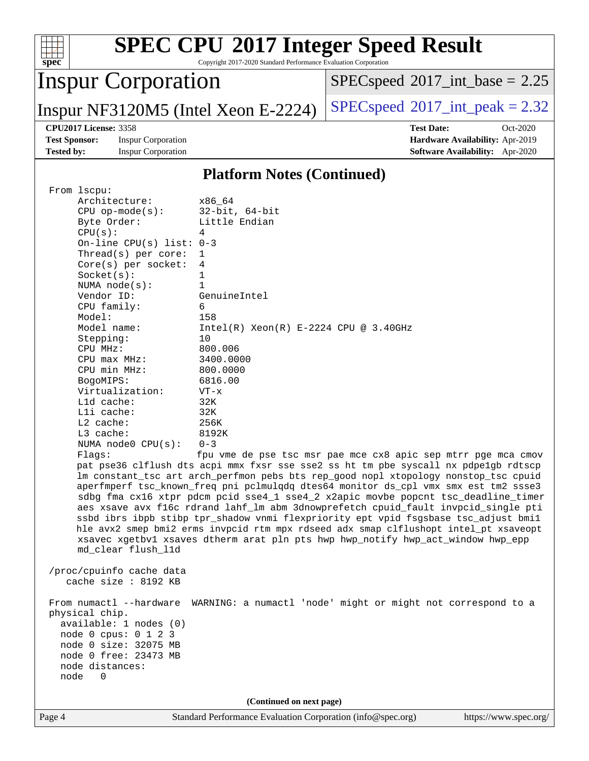| c<br>ť<br>L |  |  |  |  |  |  |  |
|-------------|--|--|--|--|--|--|--|

Copyright 2017-2020 Standard Performance Evaluation Corporation

## Inspur Corporation

 $SPEC speed$ <sup>®</sup> $2017$ \_int\_base = 2.25

Inspur NF3120M5 (Intel Xeon E-2224) [SPECspeed](http://www.spec.org/auto/cpu2017/Docs/result-fields.html#SPECspeed2017intpeak)<sup>®</sup>[2017\\_int\\_peak = 2](http://www.spec.org/auto/cpu2017/Docs/result-fields.html#SPECspeed2017intpeak).32

**[Test Sponsor:](http://www.spec.org/auto/cpu2017/Docs/result-fields.html#TestSponsor)** Inspur Corporation **[Hardware Availability:](http://www.spec.org/auto/cpu2017/Docs/result-fields.html#HardwareAvailability)** Apr-2019

**[CPU2017 License:](http://www.spec.org/auto/cpu2017/Docs/result-fields.html#CPU2017License)** 3358 **[Test Date:](http://www.spec.org/auto/cpu2017/Docs/result-fields.html#TestDate)** Oct-2020 **[Tested by:](http://www.spec.org/auto/cpu2017/Docs/result-fields.html#Testedby)** Inspur Corporation **[Software Availability:](http://www.spec.org/auto/cpu2017/Docs/result-fields.html#SoftwareAvailability)** Apr-2020

#### **[Platform Notes \(Continued\)](http://www.spec.org/auto/cpu2017/Docs/result-fields.html#PlatformNotes)**

| From 1scpu: |                            |                                                                                      |                       |
|-------------|----------------------------|--------------------------------------------------------------------------------------|-----------------------|
|             | Architecture:              | x86 64                                                                               |                       |
|             | $CPU$ op-mode( $s$ ):      | $32$ -bit, $64$ -bit                                                                 |                       |
|             | Byte Order:                | Little Endian                                                                        |                       |
|             | CPU(s):                    | 4                                                                                    |                       |
|             | On-line CPU(s) list: $0-3$ |                                                                                      |                       |
|             | Thread(s) per core:        | 1                                                                                    |                       |
|             | Core(s) per socket:        | 4                                                                                    |                       |
|             | Socket(s):                 | $\mathbf{1}$                                                                         |                       |
|             | NUMA $node(s):$            | $\mathbf{1}$                                                                         |                       |
|             | Vendor ID:                 | GenuineIntel                                                                         |                       |
|             | CPU family:                | 6                                                                                    |                       |
|             | Model:                     | 158                                                                                  |                       |
|             | Model name:                | $Intel(R) Xeon(R) E-2224 CPU @ 3.40GHz$                                              |                       |
|             | Stepping:                  | 10                                                                                   |                       |
|             | CPU MHz:                   | 800.006                                                                              |                       |
|             | $CPU$ max $MHz$ :          | 3400.0000                                                                            |                       |
|             | CPU min MHz:               | 800.0000                                                                             |                       |
|             | BogoMIPS:                  | 6816.00                                                                              |                       |
|             | Virtualization:            | $VT - x$                                                                             |                       |
|             | $L1d$ cache:               | 32K                                                                                  |                       |
|             | Lli cache:                 | 32K                                                                                  |                       |
|             | $L2$ cache:                | 256K                                                                                 |                       |
|             | L3 cache:                  | 8192K                                                                                |                       |
|             | NUMA $node0$ $CPU(s)$ :    | $0 - 3$                                                                              |                       |
|             | Flags:                     | fpu vme de pse tsc msr pae mce cx8 apic sep mtrr pge mca cmov                        |                       |
|             |                            | pat pse36 clflush dts acpi mmx fxsr sse sse2 ss ht tm pbe syscall nx pdpelgb rdtscp  |                       |
|             |                            | lm constant_tsc art arch_perfmon pebs bts rep_good nopl xtopology nonstop_tsc cpuid  |                       |
|             |                            | aperfmperf tsc_known_freq pni pclmulqdq dtes64 monitor ds_cpl vmx smx est tm2 ssse3  |                       |
|             |                            | sdbg fma cx16 xtpr pdcm pcid sse4_1 sse4_2 x2apic movbe popcnt tsc_deadline_timer    |                       |
|             |                            | aes xsave avx f16c rdrand lahf_lm abm 3dnowprefetch cpuid_fault invpcid_single pti   |                       |
|             |                            | ssbd ibrs ibpb stibp tpr_shadow vnmi flexpriority ept vpid fsgsbase tsc_adjust bmil  |                       |
|             |                            | hle avx2 smep bmi2 erms invpcid rtm mpx rdseed adx smap clflushopt intel_pt xsaveopt |                       |
|             |                            | xsavec xgetbvl xsaves dtherm arat pln pts hwp hwp_notify hwp_act_window hwp_epp      |                       |
|             | md_clear flush_11d         |                                                                                      |                       |
|             |                            |                                                                                      |                       |
|             | /proc/cpuinfo cache data   |                                                                                      |                       |
|             | cache size : 8192 KB       |                                                                                      |                       |
|             |                            |                                                                                      |                       |
|             |                            | From numactl --hardware WARNING: a numactl 'node' might or might not correspond to a |                       |
|             | physical chip.             |                                                                                      |                       |
|             | available: 1 nodes (0)     |                                                                                      |                       |
|             | node 0 cpus: 0 1<br>23     |                                                                                      |                       |
|             | node 0 size: 32075 MB      |                                                                                      |                       |
|             | node 0 free: 23473 MB      |                                                                                      |                       |
|             | node distances:            |                                                                                      |                       |
| node        | $\overline{0}$             |                                                                                      |                       |
|             |                            |                                                                                      |                       |
|             |                            | (Continued on next page)                                                             |                       |
| Page 4      |                            | Standard Performance Evaluation Corporation (info@spec.org)                          | https://www.spec.org/ |
|             |                            |                                                                                      |                       |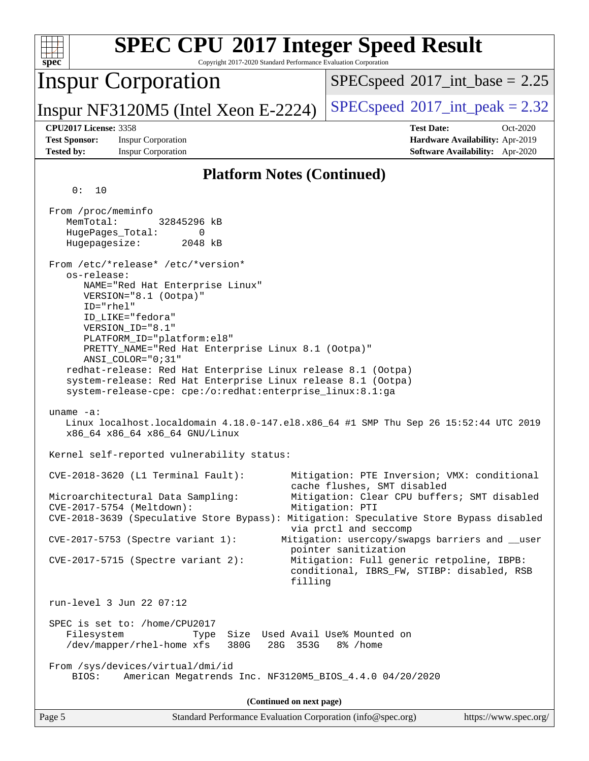| <b>SPEC CPU®2017 Integer Speed Result</b><br>Copyright 2017-2020 Standard Performance Evaluation Corporation<br>spec <sup>®</sup>                                                                                                                                                                                                                                                                                                                                                                                                                                                                                                                                          |                                                                                                                                                                                                                                                                                                                                             |
|----------------------------------------------------------------------------------------------------------------------------------------------------------------------------------------------------------------------------------------------------------------------------------------------------------------------------------------------------------------------------------------------------------------------------------------------------------------------------------------------------------------------------------------------------------------------------------------------------------------------------------------------------------------------------|---------------------------------------------------------------------------------------------------------------------------------------------------------------------------------------------------------------------------------------------------------------------------------------------------------------------------------------------|
| <b>Inspur Corporation</b>                                                                                                                                                                                                                                                                                                                                                                                                                                                                                                                                                                                                                                                  | $SPEC speed^{\circ}2017\_int\_base = 2.25$                                                                                                                                                                                                                                                                                                  |
| Inspur NF3120M5 (Intel Xeon E-2224)                                                                                                                                                                                                                                                                                                                                                                                                                                                                                                                                                                                                                                        | $SPEC speed^{\circ}2017\_int\_peak = 2.32$                                                                                                                                                                                                                                                                                                  |
| <b>CPU2017 License: 3358</b><br><b>Test Sponsor:</b><br><b>Inspur Corporation</b><br><b>Inspur Corporation</b><br><b>Tested by:</b>                                                                                                                                                                                                                                                                                                                                                                                                                                                                                                                                        | <b>Test Date:</b><br>Oct-2020<br>Hardware Availability: Apr-2019<br>Software Availability: Apr-2020                                                                                                                                                                                                                                         |
| <b>Platform Notes (Continued)</b>                                                                                                                                                                                                                                                                                                                                                                                                                                                                                                                                                                                                                                          |                                                                                                                                                                                                                                                                                                                                             |
| 0:<br>10                                                                                                                                                                                                                                                                                                                                                                                                                                                                                                                                                                                                                                                                   |                                                                                                                                                                                                                                                                                                                                             |
| From /proc/meminfo<br>MemTotal:<br>32845296 kB<br>HugePages_Total:<br>0<br>Hugepagesize:<br>2048 kB                                                                                                                                                                                                                                                                                                                                                                                                                                                                                                                                                                        |                                                                                                                                                                                                                                                                                                                                             |
| From /etc/*release* /etc/*version*<br>os-release:<br>NAME="Red Hat Enterprise Linux"<br>VERSION="8.1 (Ootpa)"<br>$ID="rhe1"$<br>ID_LIKE="fedora"<br>VERSION_ID="8.1"<br>PLATFORM_ID="platform:el8"<br>PRETTY_NAME="Red Hat Enterprise Linux 8.1 (Ootpa)"<br>$ANSI$ _COLOR=" $0:31$ "<br>redhat-release: Red Hat Enterprise Linux release 8.1 (Ootpa)<br>system-release: Red Hat Enterprise Linux release 8.1 (Ootpa)<br>system-release-cpe: cpe:/o:redhat:enterprise_linux:8.1:ga<br>uname $-a$ :<br>Linux localhost.localdomain 4.18.0-147.el8.x86_64 #1 SMP Thu Sep 26 15:52:44 UTC 2019<br>x86_64 x86_64 x86_64 GNU/Linux<br>Kernel self-reported vulnerability status: |                                                                                                                                                                                                                                                                                                                                             |
| CVE-2018-3620 (L1 Terminal Fault):<br>Microarchitectural Data Sampling:<br>CVE-2017-5754 (Meltdown):<br>CVE-2018-3639 (Speculative Store Bypass): Mitigation: Speculative Store Bypass disabled<br>CVE-2017-5753 (Spectre variant 1):<br>$CVE-2017-5715$ (Spectre variant 2):<br>filling                                                                                                                                                                                                                                                                                                                                                                                   | Mitigation: PTE Inversion; VMX: conditional<br>cache flushes, SMT disabled<br>Mitigation: Clear CPU buffers; SMT disabled<br>Mitigation: PTI<br>via prctl and seccomp<br>Mitigation: usercopy/swapgs barriers and __user<br>pointer sanitization<br>Mitigation: Full generic retpoline, IBPB:<br>conditional, IBRS_FW, STIBP: disabled, RSB |
| run-level 3 Jun 22 07:12<br>SPEC is set to: /home/CPU2017<br>Filesystem<br>Size Used Avail Use% Mounted on<br>Type<br>/dev/mapper/rhel-home xfs<br>380G<br>28G 353G<br>From /sys/devices/virtual/dmi/id<br>American Megatrends Inc. NF3120M5_BIOS_4.4.0 04/20/2020<br>BIOS:                                                                                                                                                                                                                                                                                                                                                                                                | 8% / home                                                                                                                                                                                                                                                                                                                                   |
| (Continued on next page)                                                                                                                                                                                                                                                                                                                                                                                                                                                                                                                                                                                                                                                   |                                                                                                                                                                                                                                                                                                                                             |
| Standard Performance Evaluation Corporation (info@spec.org)<br>Page 5                                                                                                                                                                                                                                                                                                                                                                                                                                                                                                                                                                                                      | https://www.spec.org/                                                                                                                                                                                                                                                                                                                       |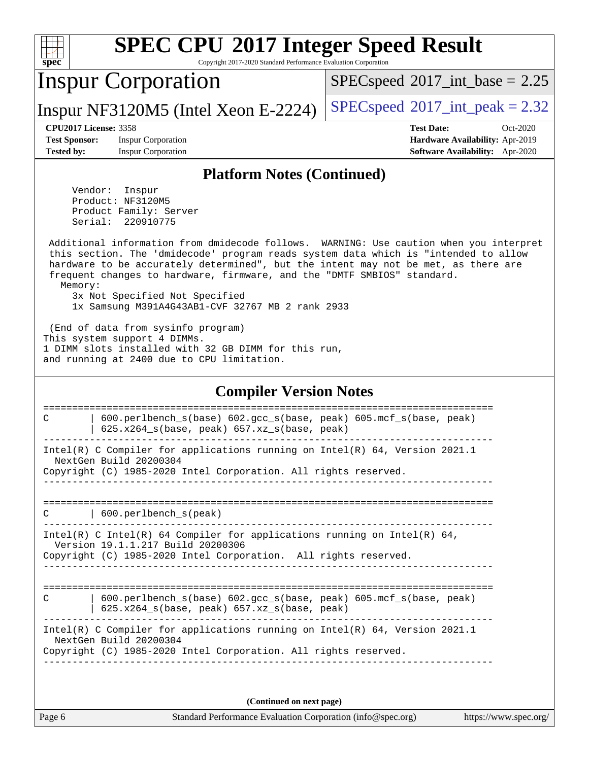

| 625.x264\_s(base, peak) 657.xz\_s(base, peak)

------------------------------------------------------------------------------ Intel(R) C Compiler for applications running on Intel(R) 64, Version 2021.1 NextGen Build 20200304

Copyright (C) 1985-2020 Intel Corporation. All rights reserved. ------------------------------------------------------------------------------

**(Continued on next page)**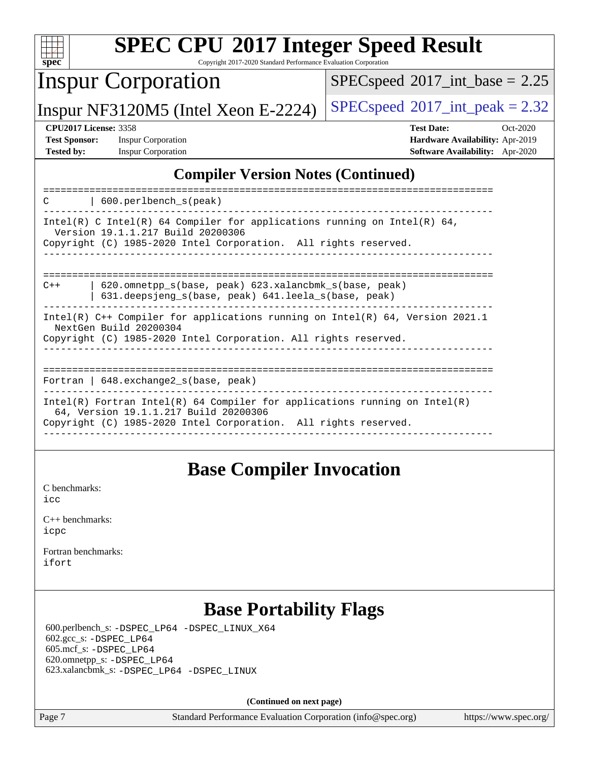| s<br>æ<br>n<br>U |  |  |  |  |  |  |  |
|------------------|--|--|--|--|--|--|--|

Copyright 2017-2020 Standard Performance Evaluation Corporation

Inspur Corporation

 $SPECspeed*2017\_int\_base = 2.25$  $SPECspeed*2017\_int\_base = 2.25$ 

Inspur NF3120M5 (Intel Xeon E-2224)  $|SPECspeed^{\circ}2017\_int\_peak = 2.32$  $|SPECspeed^{\circ}2017\_int\_peak = 2.32$  $|SPECspeed^{\circ}2017\_int\_peak = 2.32$ 

**[Test Sponsor:](http://www.spec.org/auto/cpu2017/Docs/result-fields.html#TestSponsor)** Inspur Corporation **[Hardware Availability:](http://www.spec.org/auto/cpu2017/Docs/result-fields.html#HardwareAvailability)** Apr-2019

**[CPU2017 License:](http://www.spec.org/auto/cpu2017/Docs/result-fields.html#CPU2017License)** 3358 **[Test Date:](http://www.spec.org/auto/cpu2017/Docs/result-fields.html#TestDate)** Oct-2020 **[Tested by:](http://www.spec.org/auto/cpu2017/Docs/result-fields.html#Testedby)** Inspur Corporation **[Software Availability:](http://www.spec.org/auto/cpu2017/Docs/result-fields.html#SoftwareAvailability)** Apr-2020

### **[Compiler Version Notes \(Continued\)](http://www.spec.org/auto/cpu2017/Docs/result-fields.html#CompilerVersionNotes)**

| $600.$ perlbench s(peak)<br>C                                                                                                                                                            |
|------------------------------------------------------------------------------------------------------------------------------------------------------------------------------------------|
| Intel(R) C Intel(R) 64 Compiler for applications running on Intel(R) 64,<br>Version 19.1.1.217 Build 20200306<br>Copyright (C) 1985-2020 Intel Corporation. All rights reserved.         |
| 620.omnetpp s(base, peak) 623.xalancbmk s(base, peak)<br>$C++$<br>631.deepsjeng s(base, peak) 641.leela s(base, peak)                                                                    |
| Intel(R) $C++$ Compiler for applications running on Intel(R) 64, Version 2021.1<br>NextGen Build 20200304<br>Copyright (C) 1985-2020 Intel Corporation. All rights reserved.             |
| Fortran   $648$ . exchange2 $s$ (base, peak)                                                                                                                                             |
| $Intel(R)$ Fortran Intel(R) 64 Compiler for applications running on Intel(R)<br>64, Version 19.1.1.217 Build 20200306<br>Copyright (C) 1985-2020 Intel Corporation. All rights reserved. |

## **[Base Compiler Invocation](http://www.spec.org/auto/cpu2017/Docs/result-fields.html#BaseCompilerInvocation)**

[C benchmarks](http://www.spec.org/auto/cpu2017/Docs/result-fields.html#Cbenchmarks): [icc](http://www.spec.org/cpu2017/results/res2020q4/cpu2017-20201109-24376.flags.html#user_CCbase_intel_icc_66fc1ee009f7361af1fbd72ca7dcefbb700085f36577c54f309893dd4ec40d12360134090235512931783d35fd58c0460139e722d5067c5574d8eaf2b3e37e92)

| $C_{++}$ benchmarks: |  |
|----------------------|--|
| icpc                 |  |

[Fortran benchmarks](http://www.spec.org/auto/cpu2017/Docs/result-fields.html#Fortranbenchmarks): [ifort](http://www.spec.org/cpu2017/results/res2020q4/cpu2017-20201109-24376.flags.html#user_FCbase_intel_ifort_8111460550e3ca792625aed983ce982f94888b8b503583aa7ba2b8303487b4d8a21a13e7191a45c5fd58ff318f48f9492884d4413fa793fd88dd292cad7027ca)

## **[Base Portability Flags](http://www.spec.org/auto/cpu2017/Docs/result-fields.html#BasePortabilityFlags)**

 600.perlbench\_s: [-DSPEC\\_LP64](http://www.spec.org/cpu2017/results/res2020q4/cpu2017-20201109-24376.flags.html#b600.perlbench_s_basePORTABILITY_DSPEC_LP64) [-DSPEC\\_LINUX\\_X64](http://www.spec.org/cpu2017/results/res2020q4/cpu2017-20201109-24376.flags.html#b600.perlbench_s_baseCPORTABILITY_DSPEC_LINUX_X64) 602.gcc\_s: [-DSPEC\\_LP64](http://www.spec.org/cpu2017/results/res2020q4/cpu2017-20201109-24376.flags.html#suite_basePORTABILITY602_gcc_s_DSPEC_LP64) 605.mcf\_s: [-DSPEC\\_LP64](http://www.spec.org/cpu2017/results/res2020q4/cpu2017-20201109-24376.flags.html#suite_basePORTABILITY605_mcf_s_DSPEC_LP64) 620.omnetpp\_s: [-DSPEC\\_LP64](http://www.spec.org/cpu2017/results/res2020q4/cpu2017-20201109-24376.flags.html#suite_basePORTABILITY620_omnetpp_s_DSPEC_LP64) 623.xalancbmk\_s: [-DSPEC\\_LP64](http://www.spec.org/cpu2017/results/res2020q4/cpu2017-20201109-24376.flags.html#suite_basePORTABILITY623_xalancbmk_s_DSPEC_LP64) [-DSPEC\\_LINUX](http://www.spec.org/cpu2017/results/res2020q4/cpu2017-20201109-24376.flags.html#b623.xalancbmk_s_baseCXXPORTABILITY_DSPEC_LINUX)

**(Continued on next page)**

Page 7 Standard Performance Evaluation Corporation [\(info@spec.org\)](mailto:info@spec.org) <https://www.spec.org/>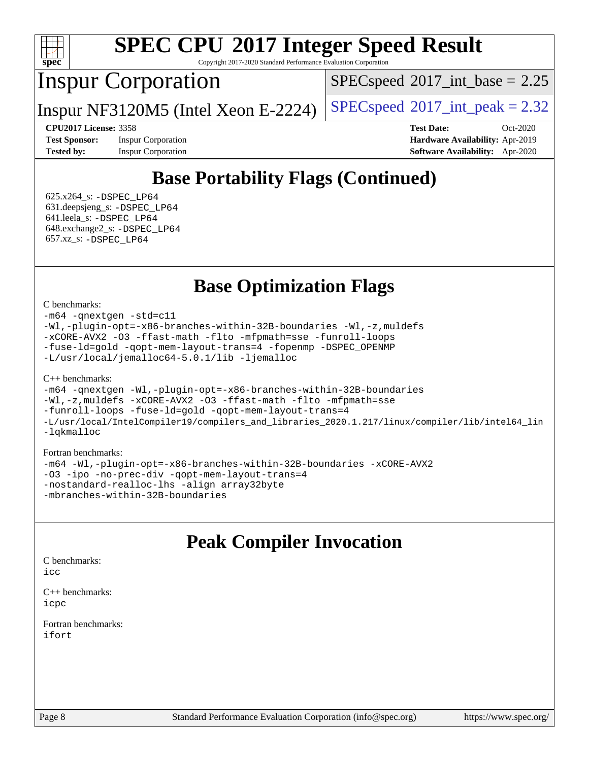

Copyright 2017-2020 Standard Performance Evaluation Corporation

## Inspur Corporation

 $SPECspeed^{\circledcirc}2017\_int\_base = 2.25$  $SPECspeed^{\circledcirc}2017\_int\_base = 2.25$ 

Inspur NF3120M5 (Intel Xeon E-2224)  $|SPECspeed^{\circ}2017\_int\_peak = 2.32$  $|SPECspeed^{\circ}2017\_int\_peak = 2.32$  $|SPECspeed^{\circ}2017\_int\_peak = 2.32$ 

**[Test Sponsor:](http://www.spec.org/auto/cpu2017/Docs/result-fields.html#TestSponsor)** Inspur Corporation **[Hardware Availability:](http://www.spec.org/auto/cpu2017/Docs/result-fields.html#HardwareAvailability)** Apr-2019

**[CPU2017 License:](http://www.spec.org/auto/cpu2017/Docs/result-fields.html#CPU2017License)** 3358 **[Test Date:](http://www.spec.org/auto/cpu2017/Docs/result-fields.html#TestDate)** Oct-2020 **[Tested by:](http://www.spec.org/auto/cpu2017/Docs/result-fields.html#Testedby)** Inspur Corporation **[Software Availability:](http://www.spec.org/auto/cpu2017/Docs/result-fields.html#SoftwareAvailability)** Apr-2020

## **[Base Portability Flags \(Continued\)](http://www.spec.org/auto/cpu2017/Docs/result-fields.html#BasePortabilityFlags)**

 625.x264\_s: [-DSPEC\\_LP64](http://www.spec.org/cpu2017/results/res2020q4/cpu2017-20201109-24376.flags.html#suite_basePORTABILITY625_x264_s_DSPEC_LP64) 631.deepsjeng\_s: [-DSPEC\\_LP64](http://www.spec.org/cpu2017/results/res2020q4/cpu2017-20201109-24376.flags.html#suite_basePORTABILITY631_deepsjeng_s_DSPEC_LP64) 641.leela\_s: [-DSPEC\\_LP64](http://www.spec.org/cpu2017/results/res2020q4/cpu2017-20201109-24376.flags.html#suite_basePORTABILITY641_leela_s_DSPEC_LP64) 648.exchange2\_s: [-DSPEC\\_LP64](http://www.spec.org/cpu2017/results/res2020q4/cpu2017-20201109-24376.flags.html#suite_basePORTABILITY648_exchange2_s_DSPEC_LP64) 657.xz\_s: [-DSPEC\\_LP64](http://www.spec.org/cpu2017/results/res2020q4/cpu2017-20201109-24376.flags.html#suite_basePORTABILITY657_xz_s_DSPEC_LP64)

### **[Base Optimization Flags](http://www.spec.org/auto/cpu2017/Docs/result-fields.html#BaseOptimizationFlags)**

#### [C benchmarks](http://www.spec.org/auto/cpu2017/Docs/result-fields.html#Cbenchmarks):

[-m64](http://www.spec.org/cpu2017/results/res2020q4/cpu2017-20201109-24376.flags.html#user_CCbase_m64-icc) [-qnextgen](http://www.spec.org/cpu2017/results/res2020q4/cpu2017-20201109-24376.flags.html#user_CCbase_f-qnextgen) [-std=c11](http://www.spec.org/cpu2017/results/res2020q4/cpu2017-20201109-24376.flags.html#user_CCbase_std-icc-std_0e1c27790398a4642dfca32ffe6c27b5796f9c2d2676156f2e42c9c44eaad0c049b1cdb667a270c34d979996257aeb8fc440bfb01818dbc9357bd9d174cb8524) [-Wl,-plugin-opt=-x86-branches-within-32B-boundaries](http://www.spec.org/cpu2017/results/res2020q4/cpu2017-20201109-24376.flags.html#user_CCbase_f-x86-branches-within-32B-boundaries_0098b4e4317ae60947b7b728078a624952a08ac37a3c797dfb4ffeb399e0c61a9dd0f2f44ce917e9361fb9076ccb15e7824594512dd315205382d84209e912f3) [-Wl,-z,muldefs](http://www.spec.org/cpu2017/results/res2020q4/cpu2017-20201109-24376.flags.html#user_CCbase_link_force_multiple1_b4cbdb97b34bdee9ceefcfe54f4c8ea74255f0b02a4b23e853cdb0e18eb4525ac79b5a88067c842dd0ee6996c24547a27a4b99331201badda8798ef8a743f577) [-xCORE-AVX2](http://www.spec.org/cpu2017/results/res2020q4/cpu2017-20201109-24376.flags.html#user_CCbase_f-xCORE-AVX2) [-O3](http://www.spec.org/cpu2017/results/res2020q4/cpu2017-20201109-24376.flags.html#user_CCbase_f-O3) [-ffast-math](http://www.spec.org/cpu2017/results/res2020q4/cpu2017-20201109-24376.flags.html#user_CCbase_f-ffast-math) [-flto](http://www.spec.org/cpu2017/results/res2020q4/cpu2017-20201109-24376.flags.html#user_CCbase_f-flto) [-mfpmath=sse](http://www.spec.org/cpu2017/results/res2020q4/cpu2017-20201109-24376.flags.html#user_CCbase_f-mfpmath_70eb8fac26bde974f8ab713bc9086c5621c0b8d2f6c86f38af0bd7062540daf19db5f3a066d8c6684be05d84c9b6322eb3b5be6619d967835195b93d6c02afa1) [-funroll-loops](http://www.spec.org/cpu2017/results/res2020q4/cpu2017-20201109-24376.flags.html#user_CCbase_f-funroll-loops) [-fuse-ld=gold](http://www.spec.org/cpu2017/results/res2020q4/cpu2017-20201109-24376.flags.html#user_CCbase_f-fuse-ld_920b3586e2b8c6e0748b9c84fa9b744736ba725a32cab14ad8f3d4ad28eecb2f59d1144823d2e17006539a88734fe1fc08fc3035f7676166309105a78aaabc32) [-qopt-mem-layout-trans=4](http://www.spec.org/cpu2017/results/res2020q4/cpu2017-20201109-24376.flags.html#user_CCbase_f-qopt-mem-layout-trans_fa39e755916c150a61361b7846f310bcdf6f04e385ef281cadf3647acec3f0ae266d1a1d22d972a7087a248fd4e6ca390a3634700869573d231a252c784941a8) [-fopenmp](http://www.spec.org/cpu2017/results/res2020q4/cpu2017-20201109-24376.flags.html#user_CCbase_fopenmp_5aa2e47ce4f2ef030ba5d12d5a7a9c4e57167333d78243fcadb80b48d5abb78ff19333f8478e0b2a41e63049eb285965c145ccab7b93db7d0c4d59e4dc6f5591) [-DSPEC\\_OPENMP](http://www.spec.org/cpu2017/results/res2020q4/cpu2017-20201109-24376.flags.html#suite_CCbase_DSPEC_OPENMP) [-L/usr/local/jemalloc64-5.0.1/lib](http://www.spec.org/cpu2017/results/res2020q4/cpu2017-20201109-24376.flags.html#user_CCbase_jemalloc_link_path64_1_cc289568b1a6c0fd3b62c91b824c27fcb5af5e8098e6ad028160d21144ef1b8aef3170d2acf0bee98a8da324cfe4f67d0a3d0c4cc4673d993d694dc2a0df248b) [-ljemalloc](http://www.spec.org/cpu2017/results/res2020q4/cpu2017-20201109-24376.flags.html#user_CCbase_jemalloc_link_lib_d1249b907c500fa1c0672f44f562e3d0f79738ae9e3c4a9c376d49f265a04b9c99b167ecedbf6711b3085be911c67ff61f150a17b3472be731631ba4d0471706)

#### [C++ benchmarks:](http://www.spec.org/auto/cpu2017/Docs/result-fields.html#CXXbenchmarks)

```
-m64 -qnextgen -Wl,-plugin-opt=-x86-branches-within-32B-boundaries
-Wl,-z,muldefs -xCORE-AVX2 -O3 -ffast-math -flto -mfpmath=sse
-funroll-loops -fuse-ld=gold -qopt-mem-layout-trans=4
-L/usr/local/IntelCompiler19/compilers_and_libraries_2020.1.217/linux/compiler/lib/intel64_lin
-lqkmalloc
```
#### [Fortran benchmarks:](http://www.spec.org/auto/cpu2017/Docs/result-fields.html#Fortranbenchmarks)

[-m64](http://www.spec.org/cpu2017/results/res2020q4/cpu2017-20201109-24376.flags.html#user_FCbase_m64-icc) [-Wl,-plugin-opt=-x86-branches-within-32B-boundaries](http://www.spec.org/cpu2017/results/res2020q4/cpu2017-20201109-24376.flags.html#user_FCbase_f-x86-branches-within-32B-boundaries_0098b4e4317ae60947b7b728078a624952a08ac37a3c797dfb4ffeb399e0c61a9dd0f2f44ce917e9361fb9076ccb15e7824594512dd315205382d84209e912f3) [-xCORE-AVX2](http://www.spec.org/cpu2017/results/res2020q4/cpu2017-20201109-24376.flags.html#user_FCbase_f-xCORE-AVX2) [-O3](http://www.spec.org/cpu2017/results/res2020q4/cpu2017-20201109-24376.flags.html#user_FCbase_f-O3) [-ipo](http://www.spec.org/cpu2017/results/res2020q4/cpu2017-20201109-24376.flags.html#user_FCbase_f-ipo) [-no-prec-div](http://www.spec.org/cpu2017/results/res2020q4/cpu2017-20201109-24376.flags.html#user_FCbase_f-no-prec-div) [-qopt-mem-layout-trans=4](http://www.spec.org/cpu2017/results/res2020q4/cpu2017-20201109-24376.flags.html#user_FCbase_f-qopt-mem-layout-trans_fa39e755916c150a61361b7846f310bcdf6f04e385ef281cadf3647acec3f0ae266d1a1d22d972a7087a248fd4e6ca390a3634700869573d231a252c784941a8) [-nostandard-realloc-lhs](http://www.spec.org/cpu2017/results/res2020q4/cpu2017-20201109-24376.flags.html#user_FCbase_f_2003_std_realloc_82b4557e90729c0f113870c07e44d33d6f5a304b4f63d4c15d2d0f1fab99f5daaed73bdb9275d9ae411527f28b936061aa8b9c8f2d63842963b95c9dd6426b8a) [-align array32byte](http://www.spec.org/cpu2017/results/res2020q4/cpu2017-20201109-24376.flags.html#user_FCbase_align_array32byte_b982fe038af199962ba9a80c053b8342c548c85b40b8e86eb3cc33dee0d7986a4af373ac2d51c3f7cf710a18d62fdce2948f201cd044323541f22fc0fffc51b6) [-mbranches-within-32B-boundaries](http://www.spec.org/cpu2017/results/res2020q4/cpu2017-20201109-24376.flags.html#user_FCbase_f-mbranches-within-32B-boundaries)

### **[Peak Compiler Invocation](http://www.spec.org/auto/cpu2017/Docs/result-fields.html#PeakCompilerInvocation)**

[C benchmarks](http://www.spec.org/auto/cpu2017/Docs/result-fields.html#Cbenchmarks):

[icc](http://www.spec.org/cpu2017/results/res2020q4/cpu2017-20201109-24376.flags.html#user_CCpeak_intel_icc_66fc1ee009f7361af1fbd72ca7dcefbb700085f36577c54f309893dd4ec40d12360134090235512931783d35fd58c0460139e722d5067c5574d8eaf2b3e37e92)

[C++ benchmarks:](http://www.spec.org/auto/cpu2017/Docs/result-fields.html#CXXbenchmarks) [icpc](http://www.spec.org/cpu2017/results/res2020q4/cpu2017-20201109-24376.flags.html#user_CXXpeak_intel_icpc_c510b6838c7f56d33e37e94d029a35b4a7bccf4766a728ee175e80a419847e808290a9b78be685c44ab727ea267ec2f070ec5dc83b407c0218cded6866a35d07)

[Fortran benchmarks](http://www.spec.org/auto/cpu2017/Docs/result-fields.html#Fortranbenchmarks): [ifort](http://www.spec.org/cpu2017/results/res2020q4/cpu2017-20201109-24376.flags.html#user_FCpeak_intel_ifort_8111460550e3ca792625aed983ce982f94888b8b503583aa7ba2b8303487b4d8a21a13e7191a45c5fd58ff318f48f9492884d4413fa793fd88dd292cad7027ca)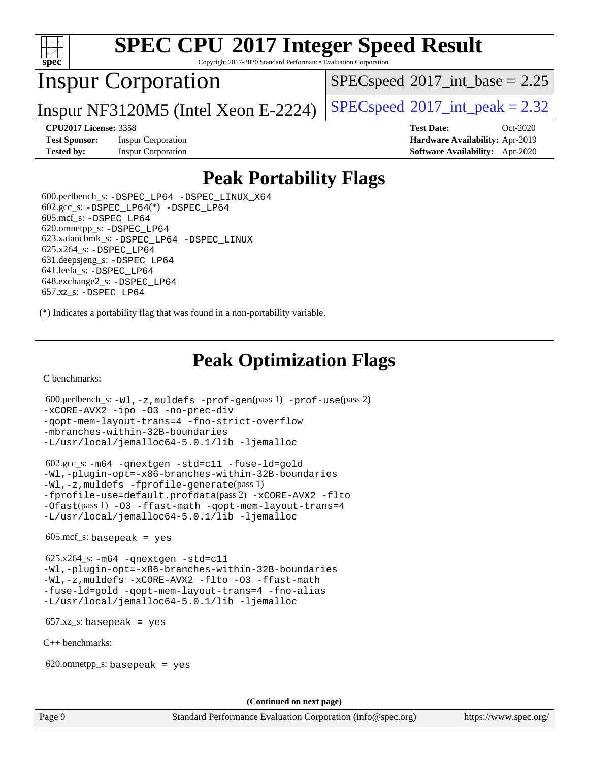

Copyright 2017-2020 Standard Performance Evaluation Corporation

## Inspur Corporation

 $SPECspeed^{\circledcirc}2017\_int\_base = 2.25$  $SPECspeed^{\circledcirc}2017\_int\_base = 2.25$ 

Inspur NF3120M5 (Intel Xeon E-2224)  $|SPECspeed^{\circ}2017\_int\_peak = 2.32$  $|SPECspeed^{\circ}2017\_int\_peak = 2.32$  $|SPECspeed^{\circ}2017\_int\_peak = 2.32$ 

**[Test Sponsor:](http://www.spec.org/auto/cpu2017/Docs/result-fields.html#TestSponsor)** Inspur Corporation **[Hardware Availability:](http://www.spec.org/auto/cpu2017/Docs/result-fields.html#HardwareAvailability)** Apr-2019 **[Tested by:](http://www.spec.org/auto/cpu2017/Docs/result-fields.html#Testedby)** Inspur Corporation **[Software Availability:](http://www.spec.org/auto/cpu2017/Docs/result-fields.html#SoftwareAvailability)** Apr-2020

**[CPU2017 License:](http://www.spec.org/auto/cpu2017/Docs/result-fields.html#CPU2017License)** 3358 **[Test Date:](http://www.spec.org/auto/cpu2017/Docs/result-fields.html#TestDate)** Oct-2020

## **[Peak Portability Flags](http://www.spec.org/auto/cpu2017/Docs/result-fields.html#PeakPortabilityFlags)**

 600.perlbench\_s: [-DSPEC\\_LP64](http://www.spec.org/cpu2017/results/res2020q4/cpu2017-20201109-24376.flags.html#b600.perlbench_s_peakPORTABILITY_DSPEC_LP64) [-DSPEC\\_LINUX\\_X64](http://www.spec.org/cpu2017/results/res2020q4/cpu2017-20201109-24376.flags.html#b600.perlbench_s_peakCPORTABILITY_DSPEC_LINUX_X64)  $602.\text{gcc_s: -DSPEC\_LP64}$ <sup>(\*)</sup> [-DSPEC\\_LP64](http://www.spec.org/cpu2017/results/res2020q4/cpu2017-20201109-24376.flags.html#suite_peakPORTABILITY602_gcc_s_DSPEC_LP64) 605.mcf\_s: [-DSPEC\\_LP64](http://www.spec.org/cpu2017/results/res2020q4/cpu2017-20201109-24376.flags.html#suite_peakPORTABILITY605_mcf_s_DSPEC_LP64) 620.omnetpp\_s: [-DSPEC\\_LP64](http://www.spec.org/cpu2017/results/res2020q4/cpu2017-20201109-24376.flags.html#suite_peakPORTABILITY620_omnetpp_s_DSPEC_LP64) 623.xalancbmk\_s: [-DSPEC\\_LP64](http://www.spec.org/cpu2017/results/res2020q4/cpu2017-20201109-24376.flags.html#suite_peakPORTABILITY623_xalancbmk_s_DSPEC_LP64) [-DSPEC\\_LINUX](http://www.spec.org/cpu2017/results/res2020q4/cpu2017-20201109-24376.flags.html#b623.xalancbmk_s_peakCXXPORTABILITY_DSPEC_LINUX) 625.x264\_s: [-DSPEC\\_LP64](http://www.spec.org/cpu2017/results/res2020q4/cpu2017-20201109-24376.flags.html#suite_peakPORTABILITY625_x264_s_DSPEC_LP64) 631.deepsjeng\_s: [-DSPEC\\_LP64](http://www.spec.org/cpu2017/results/res2020q4/cpu2017-20201109-24376.flags.html#suite_peakPORTABILITY631_deepsjeng_s_DSPEC_LP64) 641.leela\_s: [-DSPEC\\_LP64](http://www.spec.org/cpu2017/results/res2020q4/cpu2017-20201109-24376.flags.html#suite_peakPORTABILITY641_leela_s_DSPEC_LP64) 648.exchange2\_s: [-DSPEC\\_LP64](http://www.spec.org/cpu2017/results/res2020q4/cpu2017-20201109-24376.flags.html#suite_peakPORTABILITY648_exchange2_s_DSPEC_LP64) 657.xz\_s: [-DSPEC\\_LP64](http://www.spec.org/cpu2017/results/res2020q4/cpu2017-20201109-24376.flags.html#suite_peakPORTABILITY657_xz_s_DSPEC_LP64)

(\*) Indicates a portability flag that was found in a non-portability variable.

## **[Peak Optimization Flags](http://www.spec.org/auto/cpu2017/Docs/result-fields.html#PeakOptimizationFlags)**

[C benchmarks](http://www.spec.org/auto/cpu2017/Docs/result-fields.html#Cbenchmarks):

```
 600.perlbench_s: -Wl,-z,muldefs -prof-gen(pass 1) -prof-use(pass 2)
-xCORE-AVX2 -ipo -O3 -no-prec-div
-qopt-mem-layout-trans=4 -fno-strict-overflow
-mbranches-within-32B-boundaries
-L/usr/local/jemalloc64-5.0.1/lib -ljemalloc
```
 602.gcc\_s: [-m64](http://www.spec.org/cpu2017/results/res2020q4/cpu2017-20201109-24376.flags.html#user_peakCCLD602_gcc_s_m64-icc) [-qnextgen](http://www.spec.org/cpu2017/results/res2020q4/cpu2017-20201109-24376.flags.html#user_peakCCLD602_gcc_s_f-qnextgen) [-std=c11](http://www.spec.org/cpu2017/results/res2020q4/cpu2017-20201109-24376.flags.html#user_peakCCLD602_gcc_s_std-icc-std_0e1c27790398a4642dfca32ffe6c27b5796f9c2d2676156f2e42c9c44eaad0c049b1cdb667a270c34d979996257aeb8fc440bfb01818dbc9357bd9d174cb8524) [-fuse-ld=gold](http://www.spec.org/cpu2017/results/res2020q4/cpu2017-20201109-24376.flags.html#user_peakCCLD602_gcc_s_f-fuse-ld_920b3586e2b8c6e0748b9c84fa9b744736ba725a32cab14ad8f3d4ad28eecb2f59d1144823d2e17006539a88734fe1fc08fc3035f7676166309105a78aaabc32) [-Wl,-plugin-opt=-x86-branches-within-32B-boundaries](http://www.spec.org/cpu2017/results/res2020q4/cpu2017-20201109-24376.flags.html#user_peakLDFLAGS602_gcc_s_f-x86-branches-within-32B-boundaries_0098b4e4317ae60947b7b728078a624952a08ac37a3c797dfb4ffeb399e0c61a9dd0f2f44ce917e9361fb9076ccb15e7824594512dd315205382d84209e912f3) [-Wl,-z,muldefs](http://www.spec.org/cpu2017/results/res2020q4/cpu2017-20201109-24376.flags.html#user_peakEXTRA_LDFLAGS602_gcc_s_link_force_multiple1_b4cbdb97b34bdee9ceefcfe54f4c8ea74255f0b02a4b23e853cdb0e18eb4525ac79b5a88067c842dd0ee6996c24547a27a4b99331201badda8798ef8a743f577) [-fprofile-generate](http://www.spec.org/cpu2017/results/res2020q4/cpu2017-20201109-24376.flags.html#user_peakPASS1_CFLAGSPASS1_LDFLAGS602_gcc_s_fprofile-generate)(pass 1) [-fprofile-use=default.profdata](http://www.spec.org/cpu2017/results/res2020q4/cpu2017-20201109-24376.flags.html#user_peakPASS2_CFLAGSPASS2_LDFLAGS602_gcc_s_fprofile-use_56aeee182b92ec249f9670f17c9b8e7d83fe2d25538e35a2cf64c434b579a2235a8b8fc66ef5678d24461366bbab9d486c870d8a72905233fc08e43eefe3cd80)(pass 2) [-xCORE-AVX2](http://www.spec.org/cpu2017/results/res2020q4/cpu2017-20201109-24376.flags.html#user_peakCOPTIMIZEPASS1_CFLAGSPASS1_LDFLAGS602_gcc_s_f-xCORE-AVX2) [-flto](http://www.spec.org/cpu2017/results/res2020q4/cpu2017-20201109-24376.flags.html#user_peakCOPTIMIZEPASS1_CFLAGSPASS1_LDFLAGS602_gcc_s_f-flto) [-Ofast](http://www.spec.org/cpu2017/results/res2020q4/cpu2017-20201109-24376.flags.html#user_peakPASS1_CFLAGSPASS1_LDFLAGS602_gcc_s_f-Ofast)(pass 1) [-O3](http://www.spec.org/cpu2017/results/res2020q4/cpu2017-20201109-24376.flags.html#user_peakCOPTIMIZE602_gcc_s_f-O3) [-ffast-math](http://www.spec.org/cpu2017/results/res2020q4/cpu2017-20201109-24376.flags.html#user_peakCOPTIMIZE602_gcc_s_f-ffast-math) [-qopt-mem-layout-trans=4](http://www.spec.org/cpu2017/results/res2020q4/cpu2017-20201109-24376.flags.html#user_peakCOPTIMIZE602_gcc_s_f-qopt-mem-layout-trans_fa39e755916c150a61361b7846f310bcdf6f04e385ef281cadf3647acec3f0ae266d1a1d22d972a7087a248fd4e6ca390a3634700869573d231a252c784941a8) [-L/usr/local/jemalloc64-5.0.1/lib](http://www.spec.org/cpu2017/results/res2020q4/cpu2017-20201109-24376.flags.html#user_peakEXTRA_LIBS602_gcc_s_jemalloc_link_path64_1_cc289568b1a6c0fd3b62c91b824c27fcb5af5e8098e6ad028160d21144ef1b8aef3170d2acf0bee98a8da324cfe4f67d0a3d0c4cc4673d993d694dc2a0df248b) [-ljemalloc](http://www.spec.org/cpu2017/results/res2020q4/cpu2017-20201109-24376.flags.html#user_peakEXTRA_LIBS602_gcc_s_jemalloc_link_lib_d1249b907c500fa1c0672f44f562e3d0f79738ae9e3c4a9c376d49f265a04b9c99b167ecedbf6711b3085be911c67ff61f150a17b3472be731631ba4d0471706)

 $605 \text{.mcf}\text{.s.}$  basepeak = yes

 625.x264\_s: [-m64](http://www.spec.org/cpu2017/results/res2020q4/cpu2017-20201109-24376.flags.html#user_peakCCLD625_x264_s_m64-icc) [-qnextgen](http://www.spec.org/cpu2017/results/res2020q4/cpu2017-20201109-24376.flags.html#user_peakCCLD625_x264_s_f-qnextgen) [-std=c11](http://www.spec.org/cpu2017/results/res2020q4/cpu2017-20201109-24376.flags.html#user_peakCCLD625_x264_s_std-icc-std_0e1c27790398a4642dfca32ffe6c27b5796f9c2d2676156f2e42c9c44eaad0c049b1cdb667a270c34d979996257aeb8fc440bfb01818dbc9357bd9d174cb8524) [-Wl,-plugin-opt=-x86-branches-within-32B-boundaries](http://www.spec.org/cpu2017/results/res2020q4/cpu2017-20201109-24376.flags.html#user_peakLDFLAGS625_x264_s_f-x86-branches-within-32B-boundaries_0098b4e4317ae60947b7b728078a624952a08ac37a3c797dfb4ffeb399e0c61a9dd0f2f44ce917e9361fb9076ccb15e7824594512dd315205382d84209e912f3) [-Wl,-z,muldefs](http://www.spec.org/cpu2017/results/res2020q4/cpu2017-20201109-24376.flags.html#user_peakEXTRA_LDFLAGS625_x264_s_link_force_multiple1_b4cbdb97b34bdee9ceefcfe54f4c8ea74255f0b02a4b23e853cdb0e18eb4525ac79b5a88067c842dd0ee6996c24547a27a4b99331201badda8798ef8a743f577) [-xCORE-AVX2](http://www.spec.org/cpu2017/results/res2020q4/cpu2017-20201109-24376.flags.html#user_peakCOPTIMIZE625_x264_s_f-xCORE-AVX2) [-flto](http://www.spec.org/cpu2017/results/res2020q4/cpu2017-20201109-24376.flags.html#user_peakCOPTIMIZE625_x264_s_f-flto) [-O3](http://www.spec.org/cpu2017/results/res2020q4/cpu2017-20201109-24376.flags.html#user_peakCOPTIMIZE625_x264_s_f-O3) [-ffast-math](http://www.spec.org/cpu2017/results/res2020q4/cpu2017-20201109-24376.flags.html#user_peakCOPTIMIZE625_x264_s_f-ffast-math) [-fuse-ld=gold](http://www.spec.org/cpu2017/results/res2020q4/cpu2017-20201109-24376.flags.html#user_peakCOPTIMIZE625_x264_s_f-fuse-ld_920b3586e2b8c6e0748b9c84fa9b744736ba725a32cab14ad8f3d4ad28eecb2f59d1144823d2e17006539a88734fe1fc08fc3035f7676166309105a78aaabc32) [-qopt-mem-layout-trans=4](http://www.spec.org/cpu2017/results/res2020q4/cpu2017-20201109-24376.flags.html#user_peakCOPTIMIZE625_x264_s_f-qopt-mem-layout-trans_fa39e755916c150a61361b7846f310bcdf6f04e385ef281cadf3647acec3f0ae266d1a1d22d972a7087a248fd4e6ca390a3634700869573d231a252c784941a8) [-fno-alias](http://www.spec.org/cpu2017/results/res2020q4/cpu2017-20201109-24376.flags.html#user_peakEXTRA_OPTIMIZE625_x264_s_f-no-alias_77dbac10d91cbfe898fbf4a29d1b29b694089caa623bdd1baccc9957d4edbe8d106c0b357e2748a65b44fc9e83d78098bb898077f3fe92f9faf24f7bd4a07ed7) [-L/usr/local/jemalloc64-5.0.1/lib](http://www.spec.org/cpu2017/results/res2020q4/cpu2017-20201109-24376.flags.html#user_peakEXTRA_LIBS625_x264_s_jemalloc_link_path64_1_cc289568b1a6c0fd3b62c91b824c27fcb5af5e8098e6ad028160d21144ef1b8aef3170d2acf0bee98a8da324cfe4f67d0a3d0c4cc4673d993d694dc2a0df248b) [-ljemalloc](http://www.spec.org/cpu2017/results/res2020q4/cpu2017-20201109-24376.flags.html#user_peakEXTRA_LIBS625_x264_s_jemalloc_link_lib_d1249b907c500fa1c0672f44f562e3d0f79738ae9e3c4a9c376d49f265a04b9c99b167ecedbf6711b3085be911c67ff61f150a17b3472be731631ba4d0471706)

657.xz\_s: basepeak = yes

[C++ benchmarks:](http://www.spec.org/auto/cpu2017/Docs/result-fields.html#CXXbenchmarks)

620.omnetpp\_s: basepeak = yes

**(Continued on next page)**